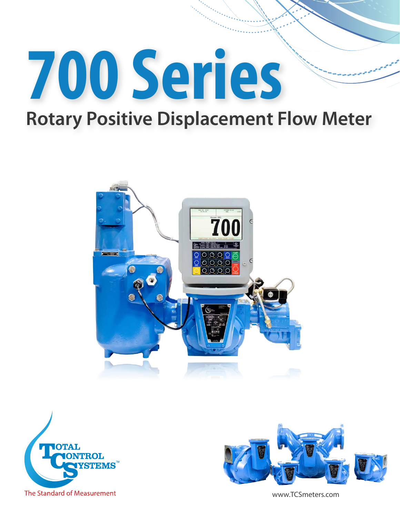

# **Rotary Positive Displacement Flow Meter**







www.TCSmeters.com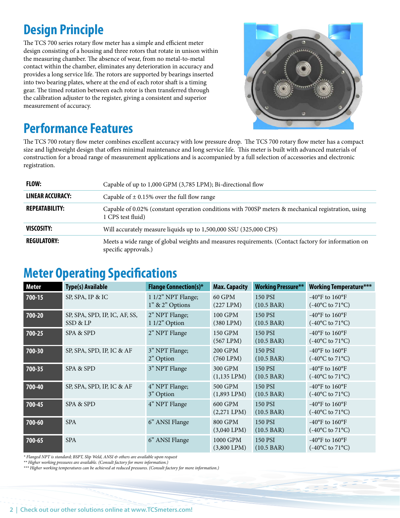### **Design Principle**

The TCS 700 series rotary flow meter has a simple and efficient meter design consisting of a housing and three rotors that rotate in unison within the measuring chamber. The absence of wear, from no metal-to-metal contact within the chamber, eliminates any deterioration in accuracy and provides a long service life. The rotors are supported by bearings inserted into two bearing plates, where at the end of each rotor shaft is a timing gear. The timed rotation between each rotor is then transferred through the calibration adjuster to the register, giving a consistent and superior measurement of accuracy.



#### **Performance Features**

The TCS 700 rotary flow meter combines excellent accuracy with low pressure drop. The TCS 700 rotary flow meter has a compact size and lightweight design that offers minimal maintenance and long service life. This meter is built with advanced materials of construction for a broad range of measurement applications and is accompanied by a full selection of accessories and electronic registration.

| FLOW:                 | Capable of up to 1,000 GPM (3,785 LPM); Bi-directional flow                                                                 |
|-----------------------|-----------------------------------------------------------------------------------------------------------------------------|
| LINEAR ACCURACY:      | Capable of $\pm$ 0.15% over the full flow range                                                                             |
| <b>REPEATABILITY:</b> | Capable of 0.02% (constant operation conditions with 700SP meters & mechanical registration, using<br>1 CPS test fluid)     |
| VISCOSITY:            | Will accurately measure liquids up to 1,500,000 SSU (325,000 CPS)                                                           |
| <b>REGULATORY:</b>    | Meets a wide range of global weights and measures requirements. (Contact factory for information on<br>specific approvals.) |

#### **Meter Operating Specifications**

| <b>Meter</b> | <b>Type(s) Available</b>                  | <b>Flange Connection(s)*</b>              | <b>Max. Capacity</b>         | <b>Working Pressure**</b>              | <b>Working Temperature***</b>                                                                    |
|--------------|-------------------------------------------|-------------------------------------------|------------------------------|----------------------------------------|--------------------------------------------------------------------------------------------------|
| 700-15       | SP, SPA, IP & IC                          | 1 1/2" NPT Flange;<br>$1"$ & $2"$ Options | 60 GPM<br>(227 LPM)          | 150 PSI<br>$(10.5 \text{ BAR})$        | -40 $\mathrm{^{\circ}F}$ to 160 $\mathrm{^{\circ}F}$<br>$(-40^{\circ}C \text{ to } 71^{\circ}C)$ |
| 700-20       | SP, SPA, SPD, IP, IC, AF, SS,<br>SSD & LP | 2" NPT Flange;<br>1 1/2" Option           | 100 GPM<br>$(380$ LPM $)$    | 150 PSI<br>$(10.5 \text{ BAR})$        | -40 $\mathrm{^{\circ}F}$ to 160 $\mathrm{^{\circ}F}$<br>$(-40^{\circ}C \text{ to } 71^{\circ}C)$ |
| 700-25       | SPA & SPD                                 | 2" NPT Flange                             | 150 GPM<br>$(567$ LPM $)$    | <b>150 PSI</b><br>$(10.5 \text{ BAR})$ | $-40^{\circ}$ F to $160^{\circ}$ F<br>$(-40^{\circ}C \text{ to } 71^{\circ}C)$                   |
| 700-30       | SP, SPA, SPD, IP, IC & AF                 | 3" NPT Flange;<br>2" Option               | 200 GPM<br>$(760$ LPM $)$    | <b>150 PSI</b><br>$(10.5 \text{ BAR})$ | $-40^{\circ}$ F to $160^{\circ}$ F<br>$(-40^{\circ}C \text{ to } 71^{\circ}C)$                   |
| 700-35       | SPA & SPD                                 | 3" NPT Flange                             | 300 GPM<br>$(1,135$ LPM $)$  | 150 PSI<br>$(10.5 \text{ BAR})$        | $-40^{\circ}$ F to $160^{\circ}$ F<br>$(-40^{\circ}C \text{ to } 71^{\circ}C)$                   |
| 700-40       | SP, SPA, SPD, IP, IC & AF                 | 4" NPT Flange;<br>3" Option               | 500 GPM<br>$(1,893$ LPM $)$  | 150 PSI<br>$(10.5 \text{ BAR})$        | $-40^{\circ}$ F to $160^{\circ}$ F<br>$(-40^{\circ}C \text{ to } 71^{\circ}C)$                   |
| 700-45       | SPA & SPD                                 | 4" NPT Flange                             | 600 GPM<br>$(2,271$ LPM $)$  | 150 PSI<br>$(10.5 \text{ BAR})$        | $-40^{\circ}$ F to $160^{\circ}$ F<br>$(-40^{\circ}C \text{ to } 71^{\circ}C)$                   |
| $700 - 60$   | <b>SPA</b>                                | 6" ANSI Flange                            | 800 GPM<br>$(3,040$ LPM $)$  | 150 PSI<br>$(10.5 \text{ BAR})$        | -40 $\mathrm{^{\circ}F}$ to 160 $\mathrm{^{\circ}F}$<br>$(-40^{\circ}C \text{ to } 71^{\circ}C)$ |
| 700-65       | <b>SPA</b>                                | 6" ANSI Flange                            | 1000 GPM<br>$(3,800$ LPM $)$ | 150 PSI<br>$(10.5 \text{ BAR})$        | -40 $\mathrm{^{\circ}F}$ to 160 $\mathrm{^{\circ}F}$<br>$(-40^{\circ}C \text{ to } 71^{\circ}C)$ |

*\* Flanged NPT is standard; BSPT, Slip Weld, ANSI & others are available upon request*

*\*\* Higher working pressures are available. (Consult factory for more information.)*

*\*\*\* Higher working temperatures can be achieved at reduced pressures. (Consult factory for more information.)*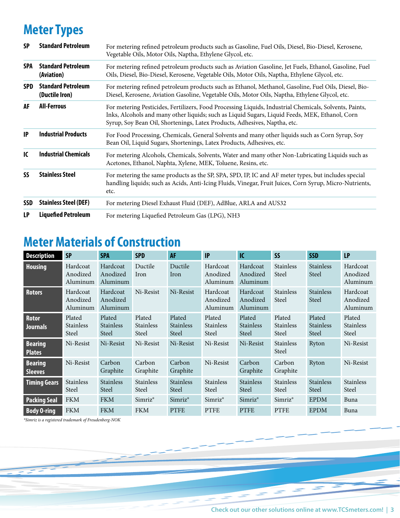# **Meter Types**

| <b>SP</b>  | <b>Standard Petroleum</b>                   | For metering refined petroleum products such as Gasoline, Fuel Oils, Diesel, Bio-Diesel, Kerosene,<br>Vegetable Oils, Motor Oils, Naptha, Ethylene Glycol, etc.                                                                                                                       |  |  |  |  |
|------------|---------------------------------------------|---------------------------------------------------------------------------------------------------------------------------------------------------------------------------------------------------------------------------------------------------------------------------------------|--|--|--|--|
| <b>SPA</b> | <b>Standard Petroleum</b><br>(Aviation)     | For metering refined petroleum products such as Aviation Gasoline, Jet Fuels, Ethanol, Gasoline, Fuel<br>Oils, Diesel, Bio-Diesel, Kerosene, Vegetable Oils, Motor Oils, Naptha, Ethylene Glycol, etc.                                                                                |  |  |  |  |
| <b>SPD</b> | <b>Standard Petroleum</b><br>(Ductile Iron) | For metering refined petroleum products such as Ethanol, Methanol, Gasoline, Fuel Oils, Diesel, Bio-<br>Diesel, Kerosene, Aviation Gasoline, Vegetable Oils, Motor Oils, Naptha, Ethylene Glycol, etc.                                                                                |  |  |  |  |
| AF         | <b>All-Ferrous</b>                          | For metering Pesticides, Fertilizers, Food Processing Liquids, Industrial Chemicals, Solvents, Paints,<br>Inks, Alcohols and many other liquids; such as Liquid Sugars, Liquid Feeds, MEK, Ethanol, Corn<br>Syrup, Soy Bean Oil, Shortenings, Latex Products, Adhesives, Naptha, etc. |  |  |  |  |
| IP         | <b>Industrial Products</b>                  | For Food Processing, Chemicals, General Solvents and many other liquids such as Corn Syrup, Soy<br>Bean Oil, Liquid Sugars, Shortenings, Latex Products, Adhesives, etc.                                                                                                              |  |  |  |  |
| IC         | <b>Industrial Chemicals</b>                 | For metering Alcohols, Chemicals, Solvents, Water and many other Non-Lubricating Liquids such as<br>Acetones, Ethanol, Naphta, Xylene, MEK, Toluene, Resins, etc.                                                                                                                     |  |  |  |  |
| <b>SS</b>  | <b>Stainless Steel</b>                      | For metering the same products as the SP, SPA, SPD, IP, IC and AF meter types, but includes special<br>handling liquids; such as Acids, Anti-Icing Fluids, Vinegar, Fruit Juices, Corn Syrup, Micro-Nutrients,<br>etc.                                                                |  |  |  |  |
| <b>SSD</b> | <b>Stainless Steel (DEF)</b>                | For metering Diesel Exhaust Fluid (DEF), AdBlue, ARLA and AUS32                                                                                                                                                                                                                       |  |  |  |  |
| LP         | <b>Liquefied Petroleum</b>                  | For metering Liquefied Petroleum Gas (LPG), NH3                                                                                                                                                                                                                                       |  |  |  |  |

## **Meter Materials of Construction**

| <b>Description</b>               | <b>SP</b>                           | <b>SPA</b>                          | <b>SPD</b>                          | AF                                  | IP                                  | IC                                  | <b>SS</b>                           | <b>SSD</b>                          | LP                                  |
|----------------------------------|-------------------------------------|-------------------------------------|-------------------------------------|-------------------------------------|-------------------------------------|-------------------------------------|-------------------------------------|-------------------------------------|-------------------------------------|
| <b>Housing</b>                   | Hardcoat<br>Anodized<br>Aluminum    | Hardcoat<br>Anodized<br>Aluminum    | Ductile<br>Iron                     | Ductile<br>Iron                     | Hardcoat<br>Anodized<br>Aluminum    | Hardcoat<br>Anodized<br>Aluminum    | <b>Stainless</b><br>Steel           | <b>Stainless</b><br>Steel           | Hardcoat<br>Anodized<br>Aluminum    |
| <b>Rotors</b>                    | Hardcoat<br>Anodized<br>Aluminum    | Hardcoat<br>Anodized<br>Aluminum    | Ni-Resist                           | Ni-Resist                           | Hardcoat<br>Anodized<br>Aluminum    | Hardcoat<br>Anodized<br>Aluminum    | <b>Stainless</b><br>Steel           | <b>Stainless</b><br>Steel           | Hardcoat<br>Anodized<br>Aluminum    |
| <b>Rotor</b><br><b>Journals</b>  | Plated<br><b>Stainless</b><br>Steel | Plated<br><b>Stainless</b><br>Steel | Plated<br><b>Stainless</b><br>Steel | Plated<br><b>Stainless</b><br>Steel | Plated<br><b>Stainless</b><br>Steel | Plated<br><b>Stainless</b><br>Steel | Plated<br><b>Stainless</b><br>Steel | Plated<br><b>Stainless</b><br>Steel | Plated<br><b>Stainless</b><br>Steel |
| <b>Bearing</b><br><b>Plates</b>  | Ni-Resist                           | Ni-Resist                           | Ni-Resist                           | Ni-Resist                           | Ni-Resist                           | Ni-Resist                           | <b>Stainless</b><br>Steel           | Ryton                               | Ni-Resist                           |
| <b>Bearing</b><br><b>Sleeves</b> | Ni-Resist                           | Carbon<br>Graphite                  | Carbon<br>Graphite                  | Carbon<br>Graphite                  | Ni-Resist                           | Carbon<br>Graphite                  | Carbon<br>Graphite                  | Ryton                               | Ni-Resist                           |
| <b>Timing Gears</b>              | <b>Stainless</b><br>Steel           | <b>Stainless</b><br>Steel           | <b>Stainless</b><br>Steel           | <b>Stainless</b><br>Steel           | <b>Stainless</b><br>Steel           | <b>Stainless</b><br>Steel           | <b>Stainless</b><br>Steel           | <b>Stainless</b><br>Steel           | <b>Stainless</b><br>Steel           |
| <b>Packing Seal</b>              | <b>FKM</b>                          | <b>FKM</b>                          | $Simriz^*$                          | $Simriz^*$                          | Simriz <sup>®</sup>                 | $Simriz^*$                          | $Simriz^*$                          | <b>EPDM</b>                         | Buna                                |
| <b>Body O-ring</b>               | <b>FKM</b>                          | <b>FKM</b>                          | <b>FKM</b>                          | <b>PTFE</b>                         | <b>PTFE</b>                         | <b>PTFE</b>                         | <b>PTFE</b>                         | <b>EPDM</b>                         | Buna                                |

*\*Simriz is a registered trademark of Freudenberg-NOK*